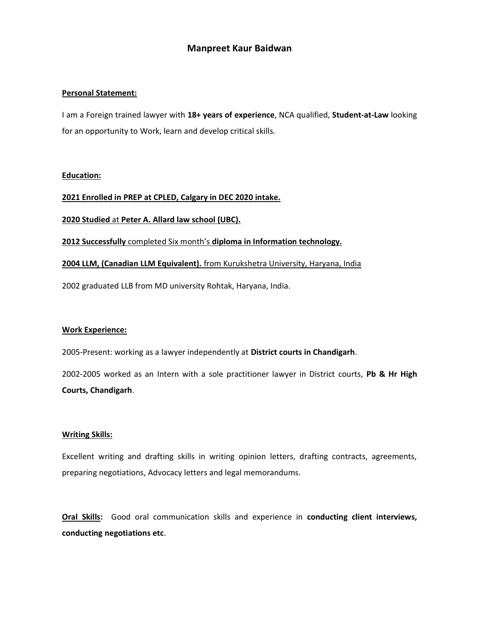# Manpreet Kaur Baidwan

### Personal Statement:

I am a Foreign trained lawyer with 18+ years of experience, NCA qualified, Student-at-Law looking for an opportunity to Work, learn and develop critical skills.

#### Education:

2021 Enrolled in PREP at CPLED, Calgary in DEC 2020 intake.

2020 Studied at Peter A. Allard law school (UBC).

2012 Successfully completed Six month's diploma in Information technology.

### 2004 LLM, (Canadian LLM Equivalent). from Kurukshetra University, Haryana, India

2002 graduated LLB from MD university Rohtak, Haryana, India.

#### Work Experience:

2005-Present: working as a lawyer independently at District courts in Chandigarh.

2002-2005 worked as an Intern with a sole practitioner lawyer in District courts, Pb & Hr High Courts, Chandigarh.

#### Writing Skills:

Excellent writing and drafting skills in writing opinion letters, drafting contracts, agreements, preparing negotiations, Advocacy letters and legal memorandums.

Oral Skills: Good oral communication skills and experience in conducting client interviews, conducting negotiations etc.